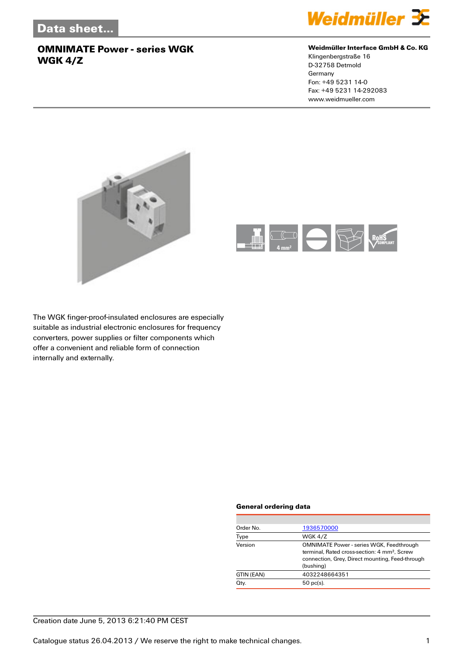

#### **Weidmüller Interface GmbH & Co. KG**

Klingenbergstraße 16 D-32758 Detmold Germany Fon: +49 5231 14-0 Fax: +49 5231 14-292083 www.weidmueller.com





The WGK finger-proof-insulated enclosures are especially suitable as industrial electronic enclosures for frequency converters, power supplies or filter components which offer a convenient and reliable form of connection internally and externally.

#### **General ordering data**

| Order No.  | 1936570000                                                                                                                                                                  |
|------------|-----------------------------------------------------------------------------------------------------------------------------------------------------------------------------|
| Type       | WGK 4/Z                                                                                                                                                                     |
| Version    | <b>OMNIMATE Power - series WGK, Feedthrough</b><br>terminal. Rated cross-section: 4 mm <sup>2</sup> . Screw<br>connection, Grey, Direct mounting, Feed-through<br>(bushing) |
| GTIN (EAN) | 4032248664351                                                                                                                                                               |
| Qty.       | $50$ pc(s).                                                                                                                                                                 |
|            |                                                                                                                                                                             |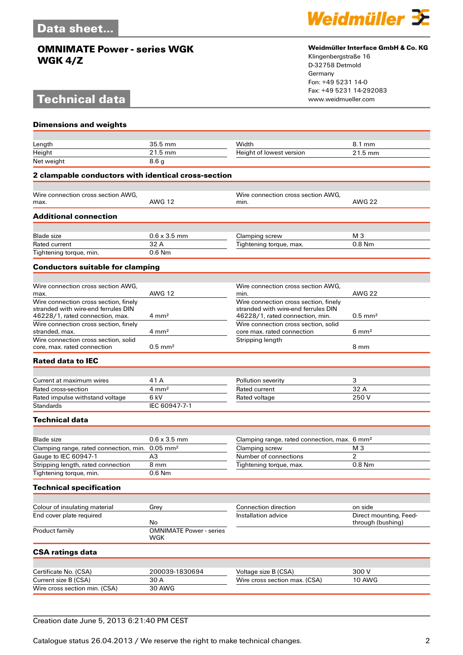## **Technical data**



#### **Weidmüller Interface GmbH & Co. KG**

Klingenbergstraße 16 D-32758 Detmold Germany Fon: +49 5231 14-0 Fax: +49 5231 14-292083

| <b>Dimensions and weights</b>                                 |                                       |                                                          |                        |
|---------------------------------------------------------------|---------------------------------------|----------------------------------------------------------|------------------------|
|                                                               |                                       |                                                          |                        |
| Length                                                        | 35.5 mm                               | Width                                                    | 8.1 mm                 |
| Height                                                        | 21.5 mm                               | Height of lowest version                                 | 21.5 mm                |
| Net weight                                                    | 8.6 <sub>g</sub>                      |                                                          |                        |
| 2 clampable conductors with identical cross-section           |                                       |                                                          |                        |
| Wire connection cross section AWG.                            |                                       | Wire connection cross section AWG,                       |                        |
| max.                                                          | <b>AWG 12</b>                         | min.                                                     | <b>AWG 22</b>          |
| <b>Additional connection</b>                                  |                                       |                                                          |                        |
| <b>Blade size</b>                                             | $0.6 \times 3.5$ mm                   | Clamping screw                                           | M 3                    |
| <b>Rated current</b>                                          | 32 A                                  | Tightening torque, max.                                  | $0.8$ Nm               |
| Tightening torque, min.                                       | $0.6$ Nm                              |                                                          |                        |
| <b>Conductors suitable for clamping</b>                       |                                       |                                                          |                        |
|                                                               |                                       |                                                          |                        |
| Wire connection cross section AWG.<br>max.                    | <b>AWG 12</b>                         | Wire connection cross section AWG,<br>min.               | <b>AWG 22</b>          |
| Wire connection cross section, finely                         |                                       | Wire connection cross section, finely                    |                        |
| stranded with wire-end ferrules DIN                           |                                       | stranded with wire-end ferrules DIN                      |                        |
| 46228/1, rated connection, max.                               | $4 \text{ mm}^2$                      | 46228/1, rated connection, min.                          | $0.5$ mm <sup>2</sup>  |
| Wire connection cross section, finely                         |                                       | Wire connection cross section, solid                     |                        |
| stranded, max.<br>Wire connection cross section, solid        | $4 \text{ mm}^2$                      | core max. rated connection                               | $6 \text{ mm}^2$       |
| core, max, rated connection                                   | $0.5$ mm <sup>2</sup>                 | Stripping length                                         | 8 mm                   |
| <b>Rated data to IEC</b>                                      |                                       |                                                          |                        |
|                                                               |                                       |                                                          |                        |
| Current at maximum wires                                      | 41 A                                  | Pollution severity                                       | 3                      |
| Rated cross-section                                           | $4 \, \text{mm}^2$                    | Rated current                                            | 32 A                   |
| Rated impulse withstand voltage                               | 6 kV                                  | Rated voltage                                            | 250V                   |
| <b>Standards</b>                                              | IEC 60947-7-1                         |                                                          |                        |
| <b>Technical data</b>                                         |                                       |                                                          |                        |
|                                                               |                                       |                                                          |                        |
| <b>Blade size</b>                                             | $0.6 \times 3.5$ mm                   | Clamping range, rated connection, max. 6 mm <sup>2</sup> |                        |
| Clamping range, rated connection, min. 0.05 mm <sup>2</sup>   |                                       | Clamping screw                                           | M <sub>3</sub>         |
| Gauge to IEC 60947-1                                          | A3                                    | Number of connections                                    | 2                      |
| Stripping length, rated connection<br>Tightening torque, min. | 8 mm<br>0.6 Nm                        | Tightening torque, max.                                  | 0.8 Nm                 |
|                                                               |                                       |                                                          |                        |
| <b>Technical specification</b>                                |                                       |                                                          |                        |
| Colour of insulating material                                 | Grey                                  | Connection direction                                     | on side                |
| End cover plate required                                      |                                       | Installation advice                                      | Direct mounting, Feed- |
|                                                               | No                                    |                                                          | through (bushing)      |
| Product family                                                | <b>OMNIMATE Power - series</b><br>WGK |                                                          |                        |
| <b>CSA ratings data</b>                                       |                                       |                                                          |                        |
|                                                               |                                       |                                                          | 300V                   |
| Certificate No. (CSA)<br>Current size B (CSA)                 | 200039-1830694<br>30 A                | Voltage size B (CSA)<br>Wire cross section max. (CSA)    | 10 AWG                 |
| Wire cross section min. (CSA)                                 | 30 AWG                                |                                                          |                        |
|                                                               |                                       |                                                          |                        |

#### Creation date June 5, 2013 6:21:40 PM CEST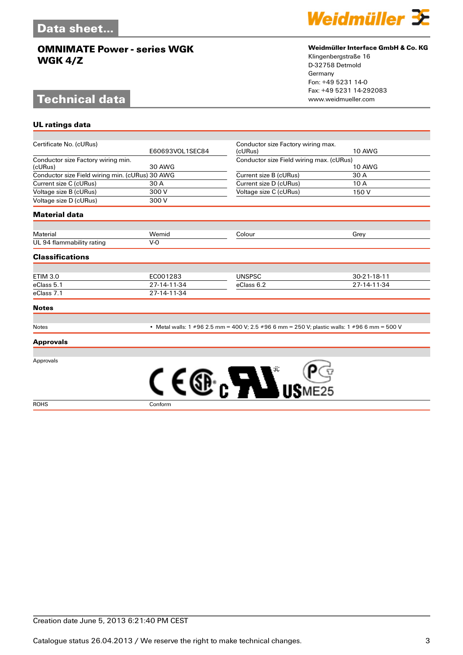# **Technical data**

**UL ratings data**



#### **Weidmüller Interface GmbH & Co. KG**

Klingenbergstraße 16 D-32758 Detmold Germany Fon: +49 5231 14-0 Fax: +49 5231 14-292083

| Certificate No. (cURus)                         | E60693VOL1SEC84 | Conductor size Factory wiring max.<br>(cURus)                                                | <b>10 AWG</b> |
|-------------------------------------------------|-----------------|----------------------------------------------------------------------------------------------|---------------|
| Conductor size Factory wiring min.              |                 |                                                                                              |               |
| (cURus)                                         | <b>30 AWG</b>   | Conductor size Field wiring max. (cURus)<br><b>10 AWG</b>                                    |               |
| Conductor size Field wiring min. (cURus) 30 AWG |                 | Current size B (cURus)                                                                       | 30 A          |
| Current size C (cURus)                          | 30 A            | Current size D (cURus)                                                                       | 10 A          |
| Voltage size B (cURus)                          | 300 V           | Voltage size C (cURus)                                                                       | 150 V         |
| Voltage size D (cURus)                          | 300 V           |                                                                                              |               |
| <b>Material data</b>                            |                 |                                                                                              |               |
| <b>Material</b>                                 | Wemid           | Colour                                                                                       | Grey          |
| UL 94 flammability rating                       | $V-0$           |                                                                                              |               |
|                                                 |                 |                                                                                              |               |
| <b>Classifications</b>                          |                 |                                                                                              |               |
|                                                 |                 |                                                                                              |               |
| <b>ETIM 3.0</b>                                 | EC001283        | <b>UNSPSC</b>                                                                                | 30-21-18-11   |
| eClass 5.1                                      | 27-14-11-34     | eClass 6.2                                                                                   | 27-14-11-34   |
| eClass 7.1                                      | 27-14-11-34     |                                                                                              |               |
| <b>Notes</b>                                    |                 |                                                                                              |               |
| Notes                                           |                 | • Metal walls: 1 #96 2.5 mm = 400 V; 2.5 #96 6 mm = 250 V; plastic walls: 1 #96 6 mm = 500 V |               |
| <b>Approvals</b>                                |                 |                                                                                              |               |
| Approvals                                       |                 |                                                                                              |               |
|                                                 |                 | <b>ALL</b>                                                                                   |               |
| <b>ROHS</b>                                     | Conform         |                                                                                              |               |

Creation date June 5, 2013 6:21:40 PM CEST